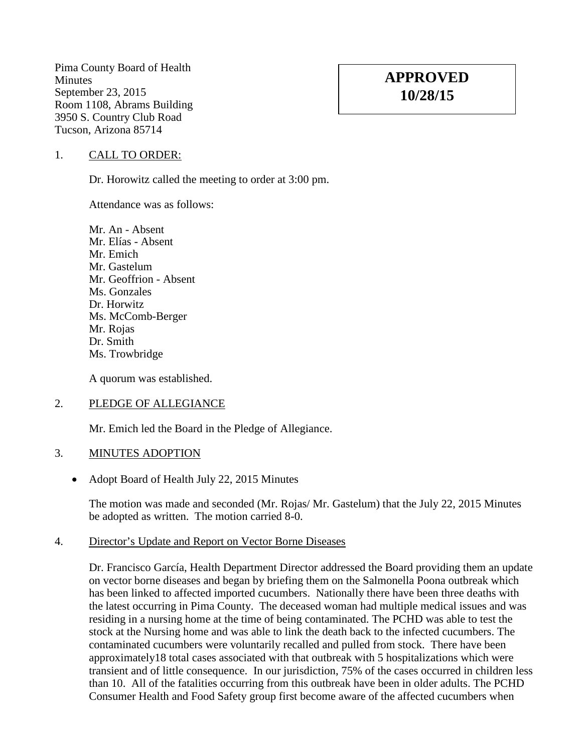Pima County Board of Health **Minutes** September 23, 2015 Room 1108, Abrams Building 3950 S. Country Club Road Tucson, Arizona 85714

# **APPROVED 10/28/15**

#### 1. CALL TO ORDER:

Dr. Horowitz called the meeting to order at 3:00 pm.

Attendance was as follows:

Mr. An - Absent Mr. Elías - Absent Mr. Emich Mr. Gastelum Mr. Geoffrion - Absent Ms. Gonzales Dr. Horwitz Ms. McComb-Berger Mr. Rojas Dr. Smith Ms. Trowbridge

A quorum was established.

### 2. PLEDGE OF ALLEGIANCE

Mr. Emich led the Board in the Pledge of Allegiance.

### 3. MINUTES ADOPTION

• Adopt Board of Health July 22, 2015 Minutes

The motion was made and seconded (Mr. Rojas/ Mr. Gastelum) that the July 22, 2015 Minutes be adopted as written. The motion carried 8-0.

#### 4. Director's Update and Report on Vector Borne Diseases

Dr. Francisco García, Health Department Director addressed the Board providing them an update on vector borne diseases and began by briefing them on the Salmonella Poona outbreak which has been linked to affected imported cucumbers. Nationally there have been three deaths with the latest occurring in Pima County. The deceased woman had multiple medical issues and was residing in a nursing home at the time of being contaminated. The PCHD was able to test the stock at the Nursing home and was able to link the death back to the infected cucumbers. The contaminated cucumbers were voluntarily recalled and pulled from stock. There have been approximately18 total cases associated with that outbreak with 5 hospitalizations which were transient and of little consequence. In our jurisdiction, 75% of the cases occurred in children less than 10. All of the fatalities occurring from this outbreak have been in older adults. The PCHD Consumer Health and Food Safety group first become aware of the affected cucumbers when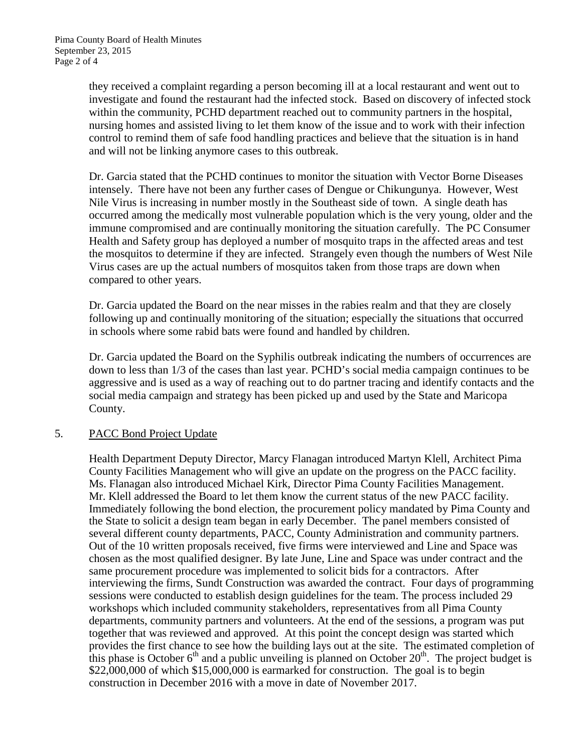they received a complaint regarding a person becoming ill at a local restaurant and went out to investigate and found the restaurant had the infected stock. Based on discovery of infected stock within the community, PCHD department reached out to community partners in the hospital, nursing homes and assisted living to let them know of the issue and to work with their infection control to remind them of safe food handling practices and believe that the situation is in hand and will not be linking anymore cases to this outbreak.

Dr. Garcia stated that the PCHD continues to monitor the situation with Vector Borne Diseases intensely. There have not been any further cases of Dengue or Chikungunya. However, West Nile Virus is increasing in number mostly in the Southeast side of town. A single death has occurred among the medically most vulnerable population which is the very young, older and the immune compromised and are continually monitoring the situation carefully. The PC Consumer Health and Safety group has deployed a number of mosquito traps in the affected areas and test the mosquitos to determine if they are infected. Strangely even though the numbers of West Nile Virus cases are up the actual numbers of mosquitos taken from those traps are down when compared to other years.

Dr. Garcia updated the Board on the near misses in the rabies realm and that they are closely following up and continually monitoring of the situation; especially the situations that occurred in schools where some rabid bats were found and handled by children.

Dr. Garcia updated the Board on the Syphilis outbreak indicating the numbers of occurrences are down to less than 1/3 of the cases than last year. PCHD's social media campaign continues to be aggressive and is used as a way of reaching out to do partner tracing and identify contacts and the social media campaign and strategy has been picked up and used by the State and Maricopa County.

### 5. PACC Bond Project Update

Health Department Deputy Director, Marcy Flanagan introduced Martyn Klell, Architect Pima County Facilities Management who will give an update on the progress on the PACC facility. Ms. Flanagan also introduced Michael Kirk, Director Pima County Facilities Management. Mr. Klell addressed the Board to let them know the current status of the new PACC facility. Immediately following the bond election, the procurement policy mandated by Pima County and the State to solicit a design team began in early December. The panel members consisted of several different county departments, PACC, County Administration and community partners. Out of the 10 written proposals received, five firms were interviewed and Line and Space was chosen as the most qualified designer. By late June, Line and Space was under contract and the same procurement procedure was implemented to solicit bids for a contractors. After interviewing the firms, Sundt Construction was awarded the contract. Four days of programming sessions were conducted to establish design guidelines for the team. The process included 29 workshops which included community stakeholders, representatives from all Pima County departments, community partners and volunteers. At the end of the sessions, a program was put together that was reviewed and approved. At this point the concept design was started which provides the first chance to see how the building lays out at the site. The estimated completion of this phase is October  $6<sup>th</sup>$  and a public unveiling is planned on October  $20<sup>th</sup>$ . The project budget is \$22,000,000 of which \$15,000,000 is earmarked for construction. The goal is to begin construction in December 2016 with a move in date of November 2017.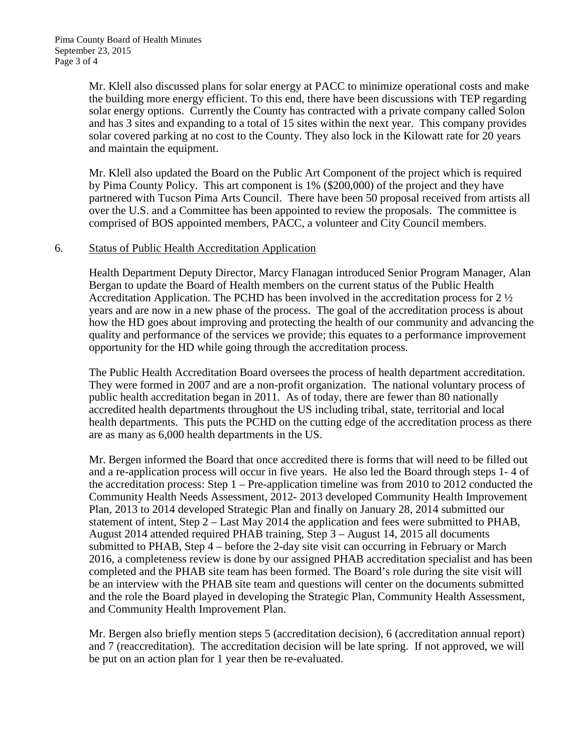Mr. Klell also discussed plans for solar energy at PACC to minimize operational costs and make the building more energy efficient. To this end, there have been discussions with TEP regarding solar energy options. Currently the County has contracted with a private company called Solon and has 3 sites and expanding to a total of 15 sites within the next year. This company provides solar covered parking at no cost to the County. They also lock in the Kilowatt rate for 20 years and maintain the equipment.

Mr. Klell also updated the Board on the Public Art Component of the project which is required by Pima County Policy. This art component is 1% (\$200,000) of the project and they have partnered with Tucson Pima Arts Council. There have been 50 proposal received from artists all over the U.S. and a Committee has been appointed to review the proposals. The committee is comprised of BOS appointed members, PACC, a volunteer and City Council members.

### 6. Status of Public Health Accreditation Application

Health Department Deputy Director, Marcy Flanagan introduced Senior Program Manager, Alan Bergan to update the Board of Health members on the current status of the Public Health Accreditation Application. The PCHD has been involved in the accreditation process for 2 ½ years and are now in a new phase of the process. The goal of the accreditation process is about how the HD goes about improving and protecting the health of our community and advancing the quality and performance of the services we provide; this equates to a performance improvement opportunity for the HD while going through the accreditation process.

The Public Health Accreditation Board oversees the process of health department accreditation. They were formed in 2007 and are a non-profit organization. The national voluntary process of public health accreditation began in 2011. As of today, there are fewer than 80 nationally accredited health departments throughout the US including tribal, state, territorial and local health departments. This puts the PCHD on the cutting edge of the accreditation process as there are as many as 6,000 health departments in the US.

Mr. Bergen informed the Board that once accredited there is forms that will need to be filled out and a re-application process will occur in five years. He also led the Board through steps 1- 4 of the accreditation process: Step  $1 -$  Pre-application timeline was from 2010 to 2012 conducted the Community Health Needs Assessment, 2012- 2013 developed Community Health Improvement Plan, 2013 to 2014 developed Strategic Plan and finally on January 28, 2014 submitted our statement of intent, Step 2 – Last May 2014 the application and fees were submitted to PHAB, August 2014 attended required PHAB training, Step 3 – August 14, 2015 all documents submitted to PHAB, Step 4 – before the 2-day site visit can occurring in February or March 2016, a completeness review is done by our assigned PHAB accreditation specialist and has been completed and the PHAB site team has been formed. The Board's role during the site visit will be an interview with the PHAB site team and questions will center on the documents submitted and the role the Board played in developing the Strategic Plan, Community Health Assessment, and Community Health Improvement Plan.

Mr. Bergen also briefly mention steps 5 (accreditation decision), 6 (accreditation annual report) and 7 (reaccreditation). The accreditation decision will be late spring. If not approved, we will be put on an action plan for 1 year then be re-evaluated.